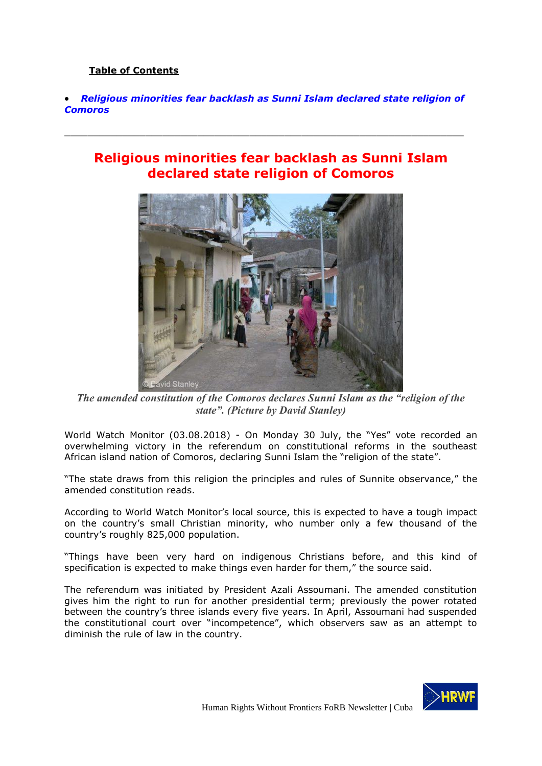## **Table of Contents**

 *[Religious minorities fear backlash as Sunni Islam declared state religion of](#page-0-0)  [Comoros](#page-0-0)*

<span id="page-0-0"></span> $\_$  , and the set of the set of the set of the set of the set of the set of the set of the set of the set of the set of the set of the set of the set of the set of the set of the set of the set of the set of the set of th

## **Religious minorities fear backlash as Sunni Islam declared state religion of Comoros**



*The amended constitution of the Comoros declares Sunni Islam as the "religion of the state". (Picture by David Stanley)*

World Watch Monitor (03.08.2018) - On Monday 30 July, the "Yes" vote recorded an overwhelming victory in the referendum on constitutional reforms in the southeast African island nation of Comoros, declaring Sunni Islam the "religion of the state".

"The state draws from this religion the principles and rules of Sunnite observance," the amended constitution reads.

According to World Watch Monitor's local source, this is expected to have a tough impact on the country's small Christian minority, who number only a few thousand of the country's roughly 825,000 population.

"Things have been very hard on indigenous Christians before, and this kind of specification is expected to make things even harder for them," the source said.

The referendum was initiated by President Azali Assoumani. The amended constitution gives him the right to run for another presidential term; previously the power rotated between the country's three islands every five years. In April, Assoumani had suspended the constitutional court over "incompetence", which observers saw as an attempt to diminish the rule of law in the country.